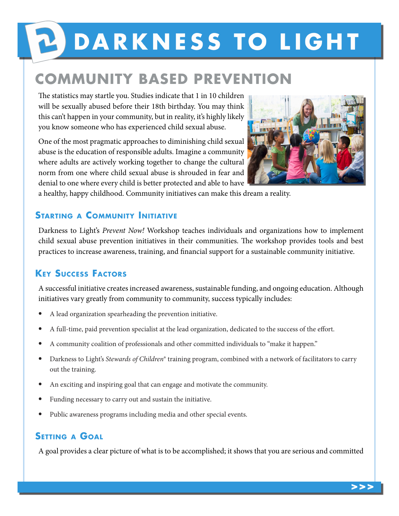# **PODARKNESS TO LIGHT**

# **COMMUNITY BASED PREVENTION**

The statistics may startle you. Studies indicate that 1 in 10 children will be sexually abused before their 18th birthday. You may think this can't happen in your community, but in reality, it's highly likely you know someone who has experienced child sexual abuse.

One of the most pragmatic approaches to diminishing child sexual abuse is the education of responsible adults. Imagine a community where adults are actively working together to change the cultural norm from one where child sexual abuse is shrouded in fear and denial to one where every child is better protected and able to have



a healthy, happy childhood. Community initiatives can make this dream a reality.

#### **Starting a Community Initiative**

Darkness to Light's *Prevent Now!* Workshop teaches individuals and organizations how to implement child sexual abuse prevention initiatives in their communities. The workshop provides tools and best practices to increase awareness, training, and financial support for a sustainable community initiative.

## **Key Success Factors**

A successful initiative creates increased awareness, sustainable funding, and ongoing education. Although initiatives vary greatly from community to community, success typically includes:

- A lead organization spearheading the prevention initiative.
- A full-time, paid prevention specialist at the lead organization, dedicated to the success of the effort.
- A community coalition of professionals and other committed individuals to "make it happen."
- Darkness to Light's *Stewards of Children*® training program, combined with a network of facilitators to carry out the training.
- An exciting and inspiring goal that can engage and motivate the community.
- Funding necessary to carry out and sustain the initiative.
- Public awareness programs including media and other special events.

#### **Setting <sup>a</sup> Goal**

A goal provides a clear picture of what is to be accomplished; it shows that you are serious and committed